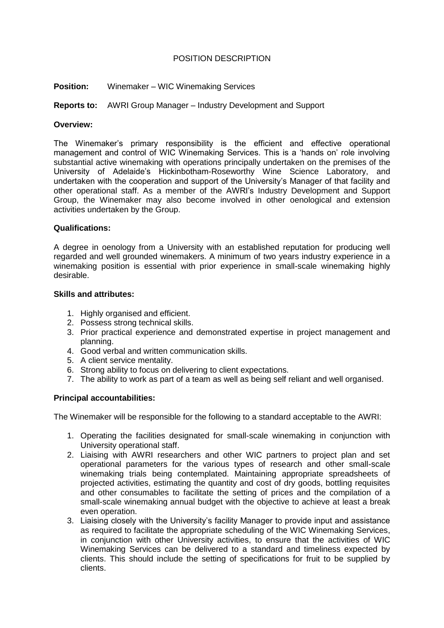## POSITION DESCRIPTION

**Position:** Winemaker – WIC Winemaking Services

## **Reports to:** AWRI Group Manager – Industry Development and Support

#### **Overview:**

The Winemaker's primary responsibility is the efficient and effective operational management and control of WIC Winemaking Services. This is a 'hands on' role involving substantial active winemaking with operations principally undertaken on the premises of the University of Adelaide's Hickinbotham-Roseworthy Wine Science Laboratory, and undertaken with the cooperation and support of the University's Manager of that facility and other operational staff. As a member of the AWRI's Industry Development and Support Group, the Winemaker may also become involved in other oenological and extension activities undertaken by the Group.

#### **Qualifications:**

A degree in oenology from a University with an established reputation for producing well regarded and well grounded winemakers. A minimum of two years industry experience in a winemaking position is essential with prior experience in small-scale winemaking highly desirable.

#### **Skills and attributes:**

- 1. Highly organised and efficient.
- 2. Possess strong technical skills.
- 3. Prior practical experience and demonstrated expertise in project management and planning.
- 4. Good verbal and written communication skills.
- 5. A client service mentality.
- 6. Strong ability to focus on delivering to client expectations.
- 7. The ability to work as part of a team as well as being self reliant and well organised.

# **Principal accountabilities:**

The Winemaker will be responsible for the following to a standard acceptable to the AWRI:

- 1. Operating the facilities designated for small-scale winemaking in conjunction with University operational staff.
- 2. Liaising with AWRI researchers and other WIC partners to project plan and set operational parameters for the various types of research and other small-scale winemaking trials being contemplated. Maintaining appropriate spreadsheets of projected activities, estimating the quantity and cost of dry goods, bottling requisites and other consumables to facilitate the setting of prices and the compilation of a small-scale winemaking annual budget with the objective to achieve at least a break even operation.
- 3. Liaising closely with the University's facility Manager to provide input and assistance as required to facilitate the appropriate scheduling of the WIC Winemaking Services, in conjunction with other University activities, to ensure that the activities of WIC Winemaking Services can be delivered to a standard and timeliness expected by clients. This should include the setting of specifications for fruit to be supplied by clients.